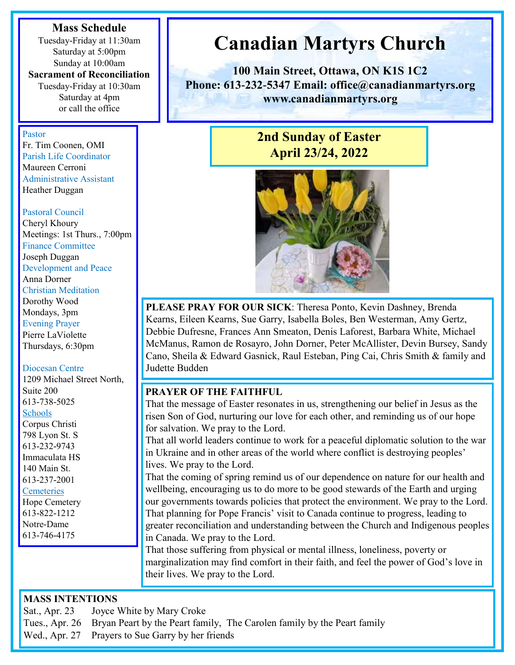#### **Mass Schedule**

Tuesday-Friday at 11:30am Saturday at 5:00pm Sunday at 10:00am

# **Sacrament of Reconciliation**

Tuesday-Friday at 10:30am Saturday at 4pm or call the office

#### Pastor

Fr. Tim Coonen, OMI Parish Life Coordinator Maureen Cerroni Administrative Assistant Heather Duggan

#### Pastoral Council

Cheryl Khoury Meetings: 1st Thurs., 7:00pm Finance Committee Joseph Duggan Development and Peace Anna Dorner Christian Meditation Dorothy Wood Mondays, 3pm Evening Prayer Pierre LaViolette Thursdays, 6:30pm

#### Diocesan Centre

1209 Michael Street North, Suite 200 613-738-5025 Schools Corpus Christi 798 Lyon St. S 613-232-9743 Immaculata HS 140 Main St. 613-237-2001 **Cemeteries** 

Hope Cemetery 613-822-1212 Notre-Dame 613-746-4175

#### **MASS INTENTIONS**

Sat., Apr. 23 Joyce White by Mary Croke

Tues., Apr. 26 Bryan Peart by the Peart family, The Carolen family by the Peart family

Wed., Apr. 27 Prayers to Sue Garry by her friends

# **Canadian Martyrs Church**

**100 Main Street, Ottawa, ON K1S 1C2 Phone: 613-232-5347 Email: office@canadianmartyrs.org www.canadianmartyrs.org**

# **2nd Sunday of Easter April 23/24, 2022**



**PLEASE PRAY FOR OUR SICK**: Theresa Ponto, Kevin Dashney, Brenda Kearns, Eileen Kearns, Sue Garry, Isabella Boles, Ben Westerman, Amy Gertz, Debbie Dufresne, Frances Ann Smeaton, Denis Laforest, Barbara White, Michael McManus, Ramon de Rosayro, John Dorner, Peter McAllister, Devin Bursey, Sandy Cano, Sheila & Edward Gasnick, Raul Esteban, Ping Cai, Chris Smith & family and Judette Budden

#### **PRAYER OF THE FAITHFUL**

That the message of Easter resonates in us, strengthening our belief in Jesus as the risen Son of God, nurturing our love for each other, and reminding us of our hope for salvation. We pray to the Lord.

That all world leaders continue to work for a peaceful diplomatic solution to the war in Ukraine and in other areas of the world where conflict is destroying peoples' lives. We pray to the Lord.

That the coming of spring remind us of our dependence on nature for our health and wellbeing, encouraging us to do more to be good stewards of the Earth and urging our governments towards policies that protect the environment. We pray to the Lord. That planning for Pope Francis' visit to Canada continue to progress, leading to greater reconciliation and understanding between the Church and Indigenous peoples in Canada. We pray to the Lord.

That those suffering from physical or mental illness, loneliness, poverty or marginalization may find comfort in their faith, and feel the power of God's love in their lives. We pray to the Lord.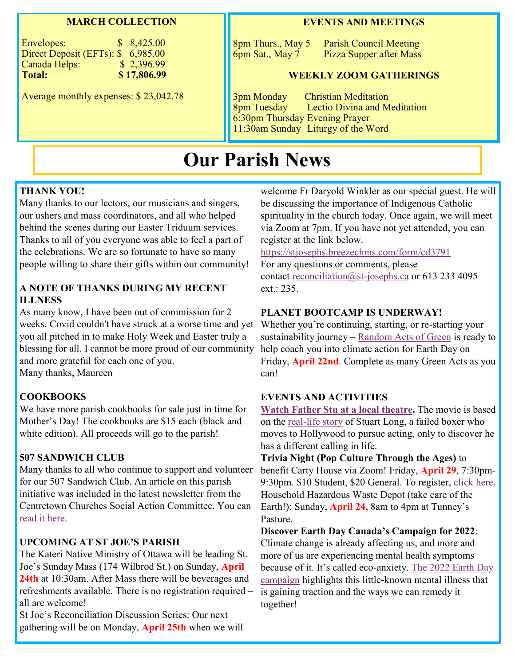#### **MARCH COLLECTION**

| Envelopes:                         | \$8,425.00  |
|------------------------------------|-------------|
| Direct Deposit (EFTs): \$ 6,985.00 |             |
| Canada Helps:                      | \$2,396.99  |
| <b>Total:</b>                      | \$17,806.99 |

Average monthly expenses: \$ 23,042.78

#### **EVENTS AND MEETINGS**

8pm Thurs., May 5 Parish Council Meeting 6pm Sat., May 7 Pizza Supper after Mass

#### **WEEKLY ZOOM GATHERINGS**

3pm Monday Christian Meditation Lectio Divina and Meditation 6:30pm Thursday Evening Prayer 11:30am Sunday Liturgy of the Word

# **Our Parish News**

#### **THANK YOU!**

Many thanks to our lectors, our musicians and singers, our ushers and mass coordinators, and all who helped behind the scenes during our Easter Triduum services. Thanks to all of you everyone was able to feel a part of the celebrations. We are so fortunate to have so many people willing to share their gifts within our community!

#### **A NOTE OF THANKS DURING MY RECENT ILLNESS**

As many know, I have been out of commission for 2 weeks. Covid couldn't have struck at a worse time and yet Whether you're continuing, starting, or re-starting your you all pitched in to make Holy Week and Easter truly a blessing for all. I cannot be more proud of our community and more grateful for each one of you. Many thanks, Maureen

#### **COOKBOOKS**

We have more parish cookbooks for sale just in time for Mother's Day! The cookbooks are \$15 each (black and white edition). All proceeds will go to the parish!

#### **507 SANDWICH CLUB**

Many thanks to all who continue to support and volunteer for our 507 Sandwich Club. An article on this parish initiative was included in the latest newsletter from the Centretown Churches Social Action Committee. You can [read it here.](https://canadianmartyrs.org/happenings/)

#### **UPCOMING AT ST JOE'S PARISH**

The Kateri Native Ministry of Ottawa will be leading St. Joe's Sunday Mass (174 Wilbrod St.) on Sunday, **April 24th** at 10:30am. After Mass there will be beverages and refreshments available. There is no registration required – all are welcome!

St Joe's Reconciliation Discussion Series: Our next gathering will be on Monday, **April 25th** when we will welcome Fr Daryold Winkler as our special guest. He will be discussing the importance of Indigenous Catholic spirituality in the church today. Once again, we will meet via Zoom at 7pm. If you have not yet attended, you can register at the link below.

#### <https://stjosephs.breezechms.com/form/cd3791>

For any questions or comments, please contact [reconciliation@st-josephs.ca](mailto:reconciliation@st-josephs.ca) or 613 233 4095  $ext: 235.$ 

#### **PLANET BOOTCAMP IS UNDERWAY!**

sustainability journey – [Random Acts of Green](https://raog.ca/planetbootcamp/) is ready to help coach you into climate action for Earth Day on Friday, **April 22nd**. Complete as many Green Acts as you can!

#### **EVENTS AND ACTIVITIES**

**[Watch Father Stu at a local theatre.](https://www.tribute.ca/showtimes/movie/ottawa/father-stu/160299/)** The movie is based on the [real-life story](https://aleteia.org/2022/04/13/father-stu-the-true-story-of-a-boxer-turned-priest/) of Stuart Long, a failed boxer who moves to Hollywood to pursue acting, only to discover he has a different calling in life.

**Trivia Night (Pop Culture Through the Ages)** to benefit Carty House via Zoom! Friday, **April 29**, 7:30pm-9:30pm. \$10 Student, \$20 General. To register, [click here.](https://app.simplyk.io/ticketing/4eb5e26e-75a8-4126-b736-a61342e082f0)  Household Hazardous Waste Depot (take care of the Earth!): Sunday, **April 24,** 8am to 4pm at Tunney's Pasture.

**Discover Earth Day Canada's Campaign for 2022**: Climate change is already affecting us, and more and more of us are experiencing mental health symptoms because of it. It's called eco-anxiety. [The 2022 Earth Day](https://youtu.be/1uw0mVkvh5o)  [campaign](https://youtu.be/1uw0mVkvh5o) highlights this little-known mental illness that is gaining traction and the ways we can remedy it together!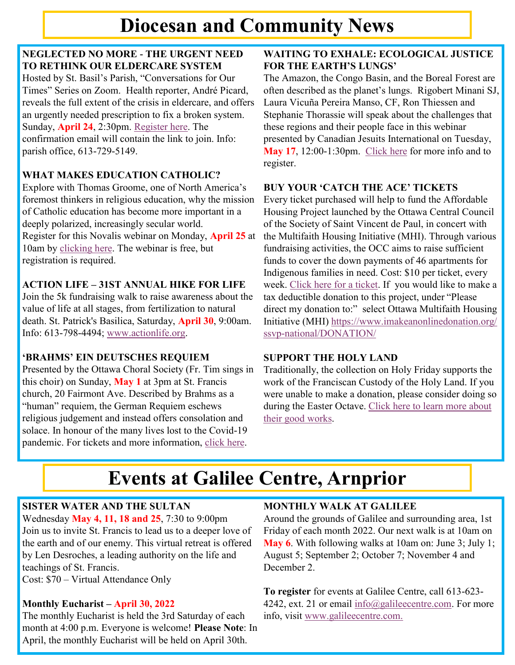# **Diocesan and Community News**

# **NEGLECTED NO MORE - THE URGENT NEED TO RETHINK OUR ELDERCARE SYSTEM**

Hosted by St. Basil's Parish, "Conversations for Our Times" Series on Zoom. Health reporter, André Picard, reveals the full extent of the crisis in eldercare, and offers an urgently needed prescription to fix a broken system. Sunday, **April 24**, 2:30pm. [Register here.](https://us02web.zoom.us/meeting/register/tZEvcOioqTMpHdaLzIIFvJ0WOxElmeuLTFzm) The confirmation email will contain the link to join. Info: parish office, 613-729-5149.

# **WHAT MAKES EDUCATION CATHOLIC?**

Explore with Thomas Groome, one of North America's foremost thinkers in religious education, why the mission of Catholic education has become more important in a deeply polarized, increasingly secular world. Register for this Novalis webinar on Monday, **April 25** at 10am by [clicking here.](https://us02web.zoom.us/webinar/register/) The webinar is free, but registration is required.

# **ACTION LIFE – 31ST ANNUAL HIKE FOR LIFE**

Join the 5k fundraising walk to raise awareness about the value of life at all stages, from fertilization to natural death. St. Patrick's Basilica, Saturday, **April 30**, 9:00am. Info: 613-798-4494; [www.actionlife.org.](http://www.actionlife.org)

# **'BRAHMS' EIN DEUTSCHES REQUIEM**

Presented by the Ottawa Choral Society (Fr. Tim sings in this choir) on Sunday, **May 1** at 3pm at St. Francis church, 20 Fairmont Ave. Described by Brahms as a "human" requiem, the German Requiem eschews religious judgement and instead offers consolation and solace. In honour of the many lives lost to the Covid-19 pandemic. For tickets and more information, click here.

### **WAITING TO EXHALE: ECOLOGICAL JUSTICE FOR THE EARTH'S LUNGS'**

The Amazon, the Congo Basin, and the Boreal Forest are often described as the planet's lungs. Rigobert Minani SJ, Laura Vicuña Pereira Manso, CF, Ron Thiessen and Stephanie Thorassie will speak about the challenges that these regions and their people face in this webinar presented by Canadian Jesuits International on Tuesday, **May 17**, 12:00-1:30pm. [Click here](https://www.eventbrite.ca/e/waiting-to-exhale-ecological-justice-for-the-earths-lungs-tickets-291492330407) for more info and to register.

# **BUY YOUR 'CATCH THE ACE' TICKETS**

Every ticket purchased will help to fund the Affordable Housing Project launched by the Ottawa Central Council of the Society of Saint Vincent de Paul, in concert with the Multifaith Housing Initiative (MHI). Through various fundraising activities, the OCC aims to raise sufficient funds to cover the down payments of 46 apartments for Indigenous families in need. Cost: \$10 per ticket, every week. [Click here for a ticket.](https://ssvpottawa.ca/cta/) If you would like to make a tax deductible donation to this project, under "Please direct my donation to:" select Ottawa Multifaith Housing Initiative (MHI) [https://www.imakeanonlinedonation.org/](https://www.imakeanonlinedonation.org/ssvp-national/DONATION/) [ssvp-national/DONATION/](https://www.imakeanonlinedonation.org/ssvp-national/DONATION/)

# **SUPPORT THE HOLY LAND**

Traditionally, the collection on Holy Friday supports the work of the Franciscan Custody of the Holy Land. If you were unable to make a donation, please consider doing so during the Easter Octave. [Click here to learn more about](https://www.vaticannews.va/en/church/news/2021-03/holy-land-good-friday-collection-custos.html)  [their good works.](https://www.vaticannews.va/en/church/news/2021-03/holy-land-good-friday-collection-custos.html)

# **Events at Galilee Centre, Arnprior**

# **SISTER WATER AND THE SULTAN**

Wednesday **May 4, 11, 18 and 25**, 7:30 to 9:00pm Join us to invite St. Francis to lead us to a deeper love of the earth and of our enemy. This virtual retreat is offered by Len Desroches, a leading authority on the life and teachings of St. Francis. Cost: \$70 – Virtual Attendance Only

**Monthly Eucharist – April 30, 2022** The monthly Eucharist is held the 3rd Saturday of each month at 4:00 p.m. Everyone is welcome! **Please Note**: In April, the monthly Eucharist will be held on April 30th.

# **MONTHLY WALK AT GALILEE**

Around the grounds of Galilee and surrounding area, 1st Friday of each month 2022. Our next walk is at 10am on **May 6**. With following walks at 10am on: June 3; July 1; August 5; September 2; October 7; November 4 and December 2.

**To register** for events at Galilee Centre, call 613-623 4242, ext. 21 or email [info@galileecentre.com.](mailto:info@galileecentre.com) For more info, visit [www.galileecentre.com.](https://www.galileecentre.com/)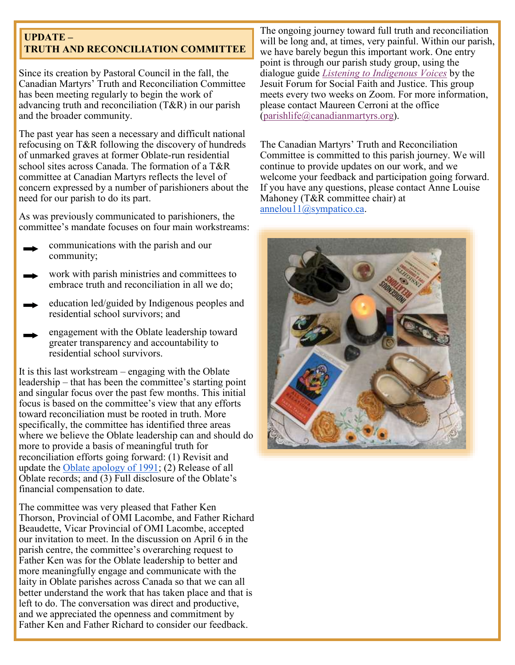### **UPDATE – TRUTH AND RECONCILIATION COMMITTEE**

Since its creation by Pastoral Council in the fall, the Canadian Martyrs' Truth and Reconciliation Committee has been meeting regularly to begin the work of advancing truth and reconciliation (T&R) in our parish and the broader community.

The past year has seen a necessary and difficult national refocusing on T&R following the discovery of hundreds of unmarked graves at former Oblate-run residential school sites across Canada. The formation of a T&R committee at Canadian Martyrs reflects the level of concern expressed by a number of parishioners about the need for our parish to do its part.

As was previously communicated to parishioners, the committee's mandate focuses on four main workstreams:

- communications with the parish and our community;
- work with parish ministries and committees to embrace truth and reconciliation in all we do;
- education led/guided by Indigenous peoples and residential school survivors; and
- engagement with the Oblate leadership toward greater transparency and accountability to residential school survivors.

It is this last workstream – engaging with the Oblate leadership – that has been the committee's starting point and singular focus over the past few months. This initial focus is based on the committee's view that any efforts toward reconciliation must be rooted in truth. More specifically, the committee has identified three areas where we believe the Oblate leadership can and should do more to provide a basis of meaningful truth for reconciliation efforts going forward: (1) Revisit and update the [Oblate apology of 1991;](https://omilacombe.ca/wp-content/uploads/2021/06/AN-APOLOGY-TO-THE-FIRST-NATIONS-OF-CANADA-BY-THE-OBLATE-CONFERENCE-OF-CANADA-w-intro-1991.pdf) (2) Release of all Oblate records; and (3) Full disclosure of the Oblate's financial compensation to date.

The committee was very pleased that Father Ken Thorson, Provincial of OMI Lacombe, and Father Richard Beaudette, Vicar Provincial of OMI Lacombe, accepted our invitation to meet. In the discussion on April 6 in the parish centre, the committee's overarching request to Father Ken was for the Oblate leadership to better and more meaningfully engage and communicate with the laity in Oblate parishes across Canada so that we can all better understand the work that has taken place and that is left to do. The conversation was direct and productive, and we appreciated the openness and commitment by Father Ken and Father Richard to consider our feedback.

The ongoing journey toward full truth and reconciliation will be long and, at times, very painful. Within our parish, we have barely begun this important work. One entry point is through our parish study group, using the dialogue guide *[Listening to Indigenous Voices](https://jesuitforum.ca/dialogue_guides/listening-to-indigenous-voices/)* by the Jesuit Forum for Social Faith and Justice. This group meets every two weeks on Zoom. For more information, please contact Maureen Cerroni at the office [\(parishlife@canadianmartyrs.org\).](mailto:parishlife@canadianmartyrs.org)

The Canadian Martyrs' Truth and Reconciliation Committee is committed to this parish journey. We will continue to provide updates on our work, and we welcome your feedback and participation going forward. If you have any questions, please contact Anne Louise Mahoney (T&R committee chair) at [annelou11@sympatico.ca.](mailto:annelou11@sympatico.ca)

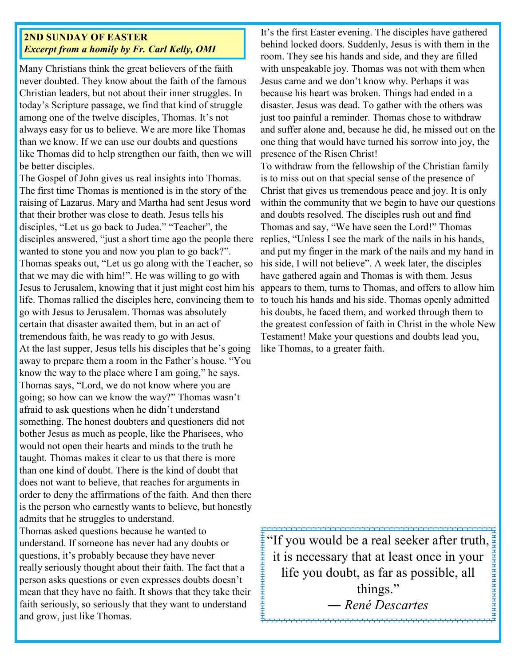### **2ND SUNDAY OF EASTER** *Excerpt from a homily by Fr. Carl Kelly, OMI*

Many Christians think the great believers of the faith never doubted. They know about the faith of the famous Christian leaders, but not about their inner struggles. In today's Scripture passage, we find that kind of struggle among one of the twelve disciples, Thomas. It's not always easy for us to believe. We are more like Thomas than we know. If we can use our doubts and questions like Thomas did to help strengthen our faith, then we will be better disciples.

The Gospel of John gives us real insights into Thomas. The first time Thomas is mentioned is in the story of the raising of Lazarus. Mary and Martha had sent Jesus word that their brother was close to death. Jesus tells his disciples, "Let us go back to Judea." "Teacher", the disciples answered, "just a short time ago the people there wanted to stone you and now you plan to go back?". Thomas speaks out, "Let us go along with the Teacher, so that we may die with him!". He was willing to go with Jesus to Jerusalem, knowing that it just might cost him his life. Thomas rallied the disciples here, convincing them to go with Jesus to Jerusalem. Thomas was absolutely certain that disaster awaited them, but in an act of tremendous faith, he was ready to go with Jesus. At the last supper, Jesus tells his disciples that he's going away to prepare them a room in the Father's house. "You know the way to the place where I am going," he says. Thomas says, "Lord, we do not know where you are going; so how can we know the way?" Thomas wasn't afraid to ask questions when he didn't understand something. The honest doubters and questioners did not bother Jesus as much as people, like the Pharisees, who would not open their hearts and minds to the truth he taught. Thomas makes it clear to us that there is more than one kind of doubt. There is the kind of doubt that does not want to believe, that reaches for arguments in order to deny the affirmations of the faith. And then there is the person who earnestly wants to believe, but honestly admits that he struggles to understand.

Thomas asked questions because he wanted to understand. If someone has never had any doubts or questions, it's probably because they have never really seriously thought about their faith. The fact that a person asks questions or even expresses doubts doesn't mean that they have no faith. It shows that they take their faith seriously, so seriously that they want to understand and grow, just like Thomas.

It's the first Easter evening. The disciples have gathered behind locked doors. Suddenly, Jesus is with them in the room. They see his hands and side, and they are filled with unspeakable joy. Thomas was not with them when Jesus came and we don't know why. Perhaps it was because his heart was broken. Things had ended in a disaster. Jesus was dead. To gather with the others was just too painful a reminder. Thomas chose to withdraw and suffer alone and, because he did, he missed out on the one thing that would have turned his sorrow into joy, the presence of the Risen Christ!

To withdraw from the fellowship of the Christian family is to miss out on that special sense of the presence of Christ that gives us tremendous peace and joy. It is only within the community that we begin to have our questions and doubts resolved. The disciples rush out and find Thomas and say, "We have seen the Lord!" Thomas replies, "Unless I see the mark of the nails in his hands, and put my finger in the mark of the nails and my hand in his side, I will not believe". A week later, the disciples have gathered again and Thomas is with them. Jesus appears to them, turns to Thomas, and offers to allow him to touch his hands and his side. Thomas openly admitted his doubts, he faced them, and worked through them to the greatest confession of faith in Christ in the whole New Testament! Make your questions and doubts lead you, like Thomas, to a greater faith.

"If you would be a real seeker after truth,  $\frac{1}{2}$ .<br>Аннанананананана it is necessary that at least once in your life you doubt, as far as possible, all things." *― René Descartes* 

ннининининининини